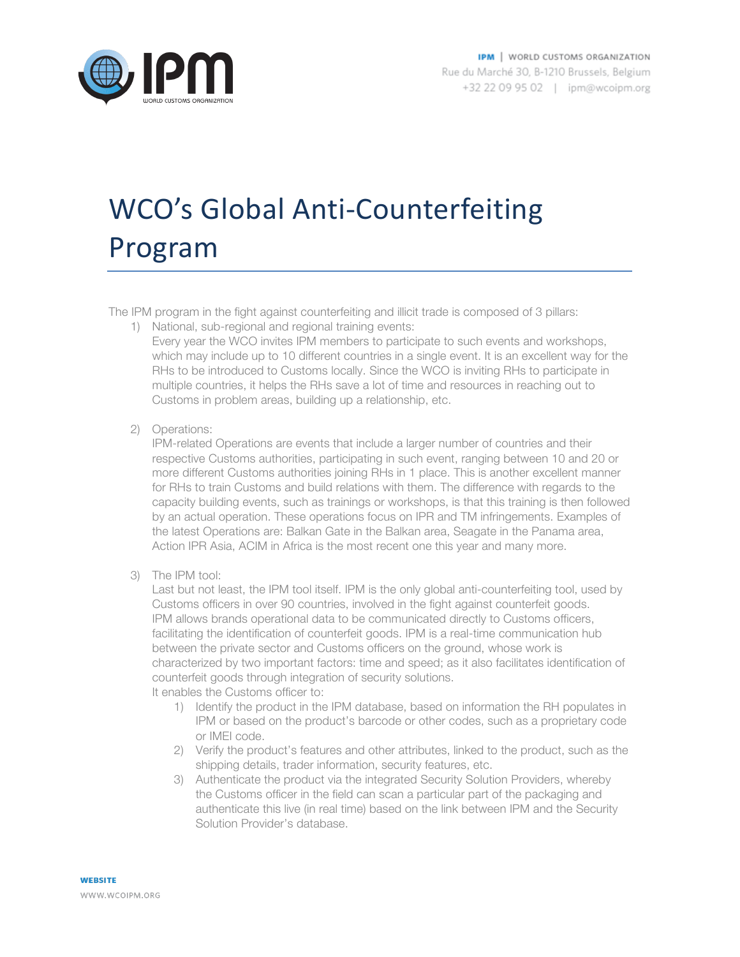

## WCO's Global Anti-Counterfeiting Program

The IPM program in the fight against counterfeiting and illicit trade is composed of 3 pillars:

1) National, sub-regional and regional training events:

Every year the WCO invites IPM members to participate to such events and workshops, which may include up to 10 different countries in a single event. It is an excellent way for the RHs to be introduced to Customs locally. Since the WCO is inviting RHs to participate in multiple countries, it helps the RHs save a lot of time and resources in reaching out to Customs in problem areas, building up a relationship, etc.

2) Operations:

IPM-related Operations are events that include a larger number of countries and their respective Customs authorities, participating in such event, ranging between 10 and 20 or more different Customs authorities joining RHs in 1 place. This is another excellent manner for RHs to train Customs and build relations with them. The difference with regards to the capacity building events, such as trainings or workshops, is that this training is then followed by an actual operation. These operations focus on IPR and TM infringements. Examples of the latest Operations are: Balkan Gate in the Balkan area, Seagate in the Panama area, Action IPR Asia, ACIM in Africa is the most recent one this year and many more.

3) The IPM tool:

Last but not least, the IPM tool itself. IPM is the only global anti-counterfeiting tool, used by Customs officers in over 90 countries, involved in the fight against counterfeit goods. IPM allows brands operational data to be communicated directly to Customs officers, facilitating the identification of counterfeit goods. IPM is a real-time communication hub between the private sector and Customs officers on the ground, whose work is characterized by two important factors: time and speed; as it also facilitates identification of counterfeit goods through integration of security solutions. It enables the Customs officer to:

- 1) Identify the product in the IPM database, based on information the RH populates in IPM or based on the product's barcode or other codes, such as a proprietary code or IMEI code.
- 2) Verify the product's features and other attributes, linked to the product, such as the shipping details, trader information, security features, etc.
- 3) Authenticate the product via the integrated Security Solution Providers, whereby the Customs officer in the field can scan a particular part of the packaging and authenticate this live (in real time) based on the link between IPM and the Security Solution Provider's database.